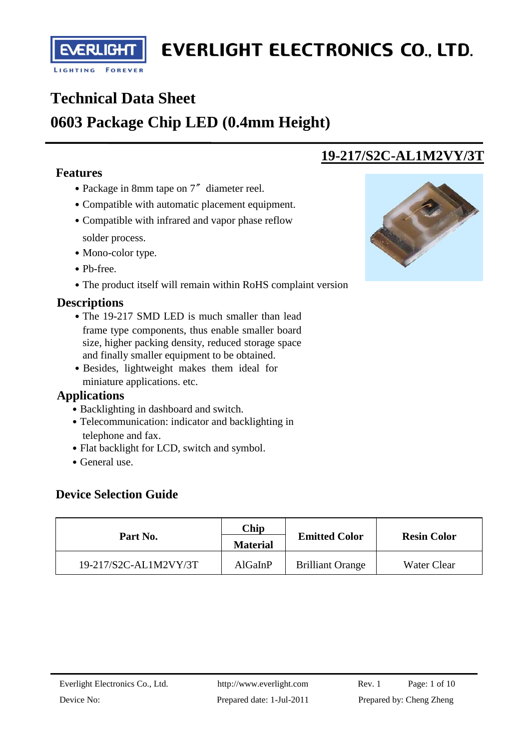

**RLIGH** 

I

 $\overline{a}$ 

# **Technical Data Sheet**

## **0603 Package Chip LED (0.4mm Height)**

### **Features**

- Package in 8mm tape on 7<sup>"</sup> diameter reel.
- Compatible with automatic placement equipment.
- Compatible with infrared and vapor phase reflow solder process.
- Mono-color type.
- Pb-free.
- The product itself will remain within RoHS complaint version

### **Descriptions**

- The 19-217 SMD LED is much smaller than lead frame type components, thus enable smaller board size, higher packing density, reduced storage space and finally smaller equipment to be obtained.
- Besides, lightweight makes them ideal for miniature applications. etc.

### **Applications**

- Backlighting in dashboard and switch.
- Telecommunication: indicator and backlighting in telephone and fax.
- Flat backlight for LCD, switch and symbol.
- General use.

### **Device Selection Guide**

|                       | Chip            |                         | <b>Resin Color</b> |  |
|-----------------------|-----------------|-------------------------|--------------------|--|
| Part No.              | <b>Material</b> | <b>Emitted Color</b>    |                    |  |
| 19-217/S2C-AL1M2VY/3T | AlGaInP         | <b>Brilliant Orange</b> | Water Clear        |  |



**19-217/S2C-AL1M2VY/3T**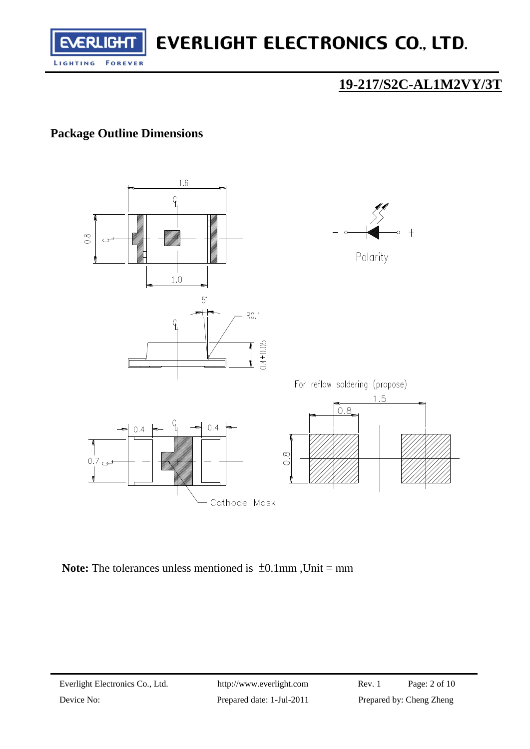

## **19-217/S2C-AL1M2VY/3T**

### **Package Outline Dimensions**



**Note:** The tolerances unless mentioned is  $\pm 0.1$ mm, Unit = mm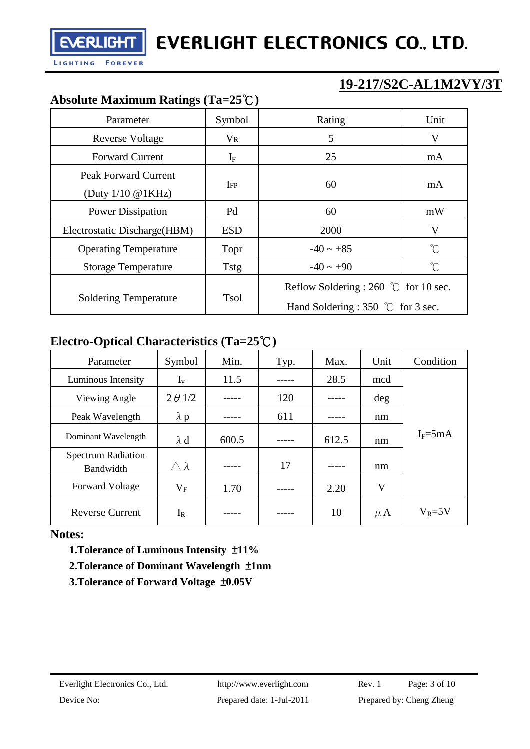**EVERLIGHT** 

ł

## **19-217/S2C-AL1M2VY/3T**

### **Absolute Maximum Ratings (Ta=25**℃**)**

| Parameter                                              | Symbol              | Rating                                                                                        | Unit         |  |  |  |
|--------------------------------------------------------|---------------------|-----------------------------------------------------------------------------------------------|--------------|--|--|--|
| <b>Reverse Voltage</b>                                 | $V_{R}$             | 5                                                                                             | V            |  |  |  |
| <b>Forward Current</b>                                 | ${\rm I}_{{\rm F}}$ | 25                                                                                            | mA           |  |  |  |
| Peak Forward Current<br>(Duty $1/10 \text{ @ } 1KHz$ ) | IFP                 | 60                                                                                            | mA           |  |  |  |
| <b>Power Dissipation</b>                               | Pd                  | 60                                                                                            | mW           |  |  |  |
| Electrostatic Discharge (HBM)                          | <b>ESD</b>          | 2000                                                                                          | V            |  |  |  |
| <b>Operating Temperature</b>                           | Topr                | $-40 \sim +85$                                                                                | $^{\circ}$ C |  |  |  |
| <b>Storage Temperature</b>                             | Tstg                | $-40 \sim +90$                                                                                | °C           |  |  |  |
| <b>Soldering Temperature</b>                           | Tsol                | Reflow Soldering : 260 $\degree$ C for 10 sec.<br>Hand Soldering : 350 $\degree$ C for 3 sec. |              |  |  |  |

### **Electro-Optical Characteristics (Ta=25**℃**)**

| Parameter                              | Symbol           | Min.  | Typ. | Max.  | Unit    | Condition   |  |
|----------------------------------------|------------------|-------|------|-------|---------|-------------|--|
| Luminous Intensity                     | $I_{v}$          | 11.5  |      | 28.5  | mcd     |             |  |
| Viewing Angle                          | $2 \theta$ 1/2   |       | 120  |       | deg     |             |  |
| Peak Wavelength                        | $\lambda$ p      |       | 611  |       | nm      |             |  |
| Dominant Wavelength                    | $\lambda$ d      | 600.5 |      | 612.5 | nm      | $I_F = 5mA$ |  |
| <b>Spectrum Radiation</b><br>Bandwidth | $\wedge \lambda$ |       | 17   |       | nm      |             |  |
| <b>Forward Voltage</b>                 | $\rm V_F$        | 1.70  |      | 2.20  | V       |             |  |
| <b>Reverse Current</b>                 | $I_{R}$          |       |      | 10    | $\mu$ A | $V_R = 5V$  |  |

**Notes:**

 **1.Tolerance of Luminous Intensity** ±**11%**

- **2.Tolerance of Dominant Wavelength** ±**1nm**
- **3.Tolerance of Forward Voltage** ±**0.05V**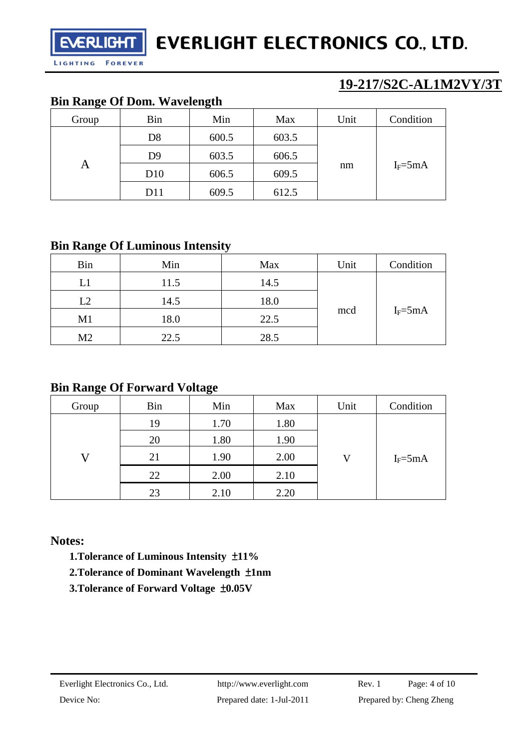**19-217/S2C-AL1M2VY/3T**

### **Bin Range Of Dom. Wavelength**

**FOREVER** 

ł

LIGHTING

**EVERLIGHT** 

| ີ     |                | ັ     |       |      |             |  |
|-------|----------------|-------|-------|------|-------------|--|
| Group | Bin            | Min   | Max   | Unit | Condition   |  |
| A     | D <sub>8</sub> | 600.5 | 603.5 |      |             |  |
|       | D <sub>9</sub> | 603.5 | 606.5 | nm   | $I_F = 5mA$ |  |
|       | D10            | 606.5 | 609.5 |      |             |  |
|       | D11            | 609.5 | 612.5 |      |             |  |

### **Bin Range Of Luminous Intensity**

| <b>Bin</b>     | Min  | Max  | Unit | Condition   |
|----------------|------|------|------|-------------|
| L1             | 11.5 | 14.5 | mcd  | $I_F = 5mA$ |
| L2             | 14.5 | 18.0 |      |             |
| M <sub>1</sub> | 18.0 | 22.5 |      |             |
| M <sub>2</sub> | 22.5 | 28.5 |      |             |

### **Bin Range Of Forward Voltage**

| Group | Bin | Min  | Max  | Unit | Condition   |  |
|-------|-----|------|------|------|-------------|--|
| 17    | 19  | 1.70 | 1.80 |      |             |  |
|       | 20  | 1.80 | 1.90 |      | $I_F = 5mA$ |  |
|       | 21  | 1.90 | 2.00 | V    |             |  |
|       | 22  | 2.00 | 2.10 |      |             |  |
|       | 23  | 2.10 | 2.20 |      |             |  |

### **Notes:**

 **1.Tolerance of Luminous Intensity** ±**11%**

- **2.Tolerance of Dominant Wavelength** ±**1nm**
- **3.Tolerance of Forward Voltage** ±**0.05V**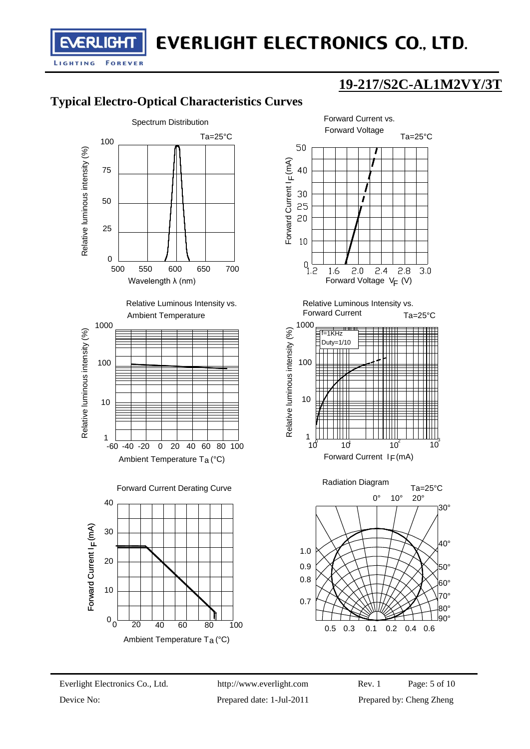## **19-217/S2C-AL1M2VY/3T**

## **Typical Electro-Optical Characteristics Curves**

ł

LIGHTING

**EVERLIGHT** 

**FOREVER** 





0.5 0.3 0.1 0.2 0.4 0.6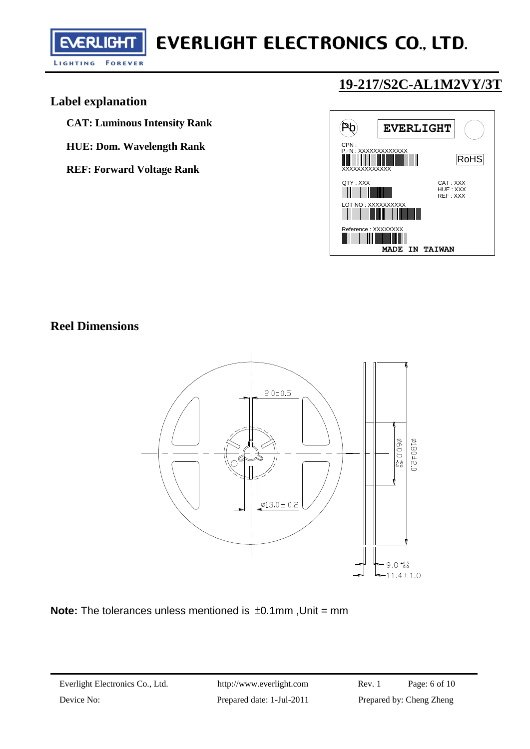LIGHTING **FOREVER** 

**EVERLIGHT** 

ł

## **19-217/S2C-AL1M2VY/3T**

### **Label explanation**

**CAT: Luminous Intensity Rank** 

- **HUE: Dom. Wavelength Rank**
- **REF: Forward Voltage Rank**



### **Reel Dimensions**



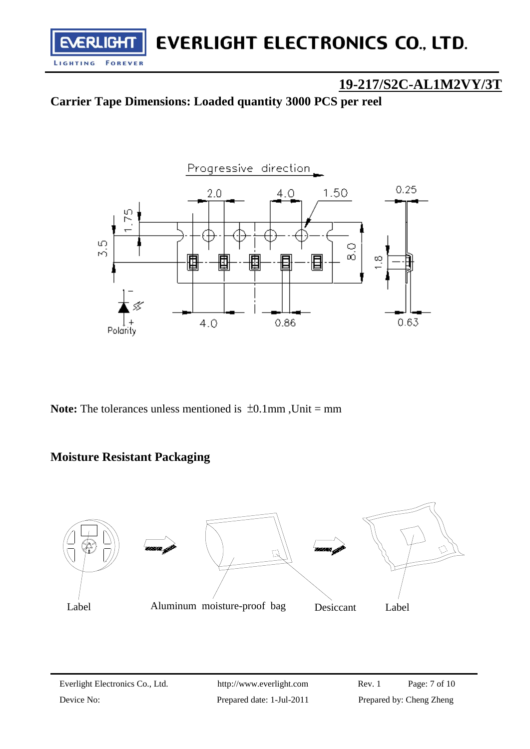### **19-217/S2C-AL1M2VY/3T**

### **Carrier Tape Dimensions: Loaded quantity 3000 PCS per reel**



**Note:** The tolerances unless mentioned is  $\pm 0.1$ mm, Unit = mm

### **Moisture Resistant Packaging**

ł

LIGHTING

**ERLIGHT** 

**FOREVER** 

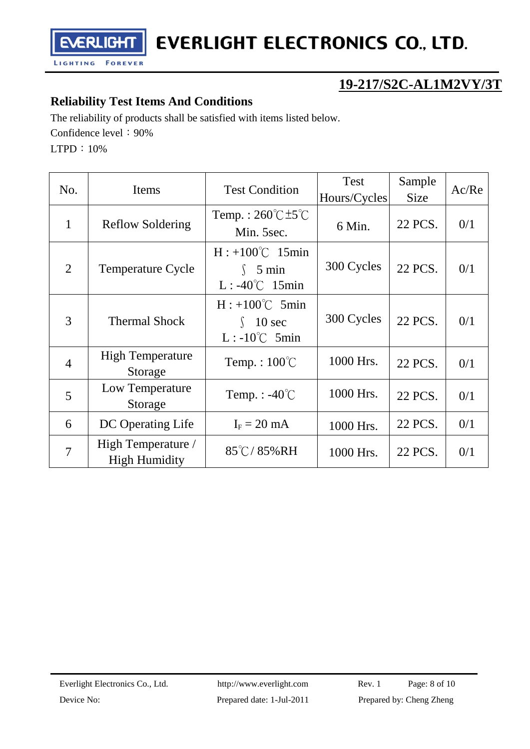**EVERLIGHT** 

## **19-217/S2C-AL1M2VY/3T**

### **Reliability Test Items And Conditions**

The reliability of products shall be satisfied with items listed below.

Confidence level: 90%

LTPD:10%

ł

| No.            | Items                                      | <b>Test Condition</b>                                               | <b>Test</b><br>Hours/Cycles | Sample<br><b>Size</b> | Ac/Re |
|----------------|--------------------------------------------|---------------------------------------------------------------------|-----------------------------|-----------------------|-------|
| $\mathbf{1}$   | <b>Reflow Soldering</b>                    | Temp.: $260^{\circ}$ C $\pm 5^{\circ}$ C<br>Min. 5sec.              | 6 Min.                      | 22 PCS.               | 0/1   |
| 2              | <b>Temperature Cycle</b>                   | $H: +100^{\circ}C$ 15min<br>$\int$ 5 min<br>$L: -40^{\circ}C$ 15min | 300 Cycles                  | 22 PCS.               | 0/1   |
| 3              | <b>Thermal Shock</b>                       | $H: +100^{\circ}C$ 5min<br>$\int$ 10 sec<br>$L: -10^{\circ}C$ 5min  | 300 Cycles                  | 22 PCS.               | 0/1   |
| $\overline{4}$ | <b>High Temperature</b><br>Storage         | Temp.: $100^{\circ}$ C                                              | 1000 Hrs.                   | 22 PCS.               | 0/1   |
| 5              | Low Temperature<br>Storage                 | Temp. : $-40^{\circ}$ C                                             | 1000 Hrs.                   | 22 PCS.               | 0/1   |
| 6              | DC Operating Life                          | $I_F = 20$ mA                                                       | 1000 Hrs.                   | 22 PCS.               | 0/1   |
| $\overline{7}$ | High Temperature /<br><b>High Humidity</b> | $85^{\circ}$ C/85%RH                                                | 1000 Hrs.                   | 22 PCS.               | 0/1   |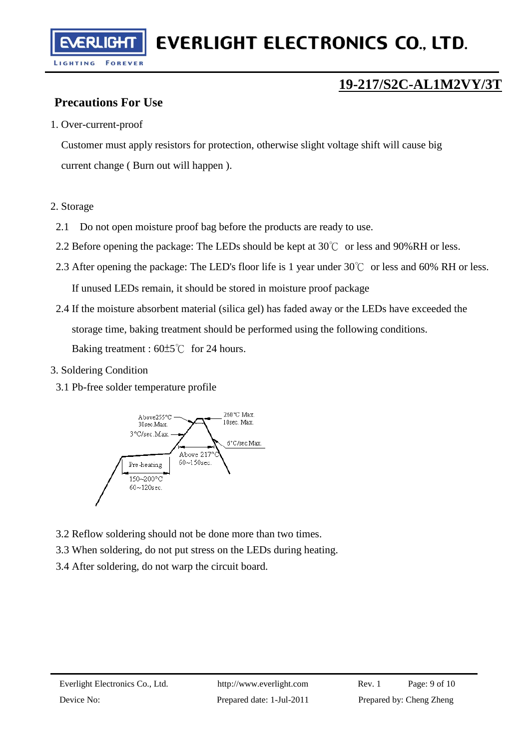FRI

ł

## **19-217/S2C-AL1M2VY/3T**

### **Precautions For Use**

.IGH

#### 1. Over-current-proof

Customer must apply resistors for protection, otherwise slight voltage shift will cause big current change ( Burn out will happen ).

#### 2. Storage

- 2.1 Do not open moisture proof bag before the products are ready to use.
- 2.2 Before opening the package: The LEDs should be kept at  $30^{\circ}$  or less and 90%RH or less.
- 2.3 After opening the package: The LED's floor life is 1 year under 30℃ or less and 60% RH or less. If unused LEDs remain, it should be stored in moisture proof package
- 2.4 If the moisture absorbent material (silica gel) has faded away or the LEDs have exceeded the storage time, baking treatment should be performed using the following conditions. Baking treatment : 60±5℃ for 24 hours.
- 3. Soldering Condition
	- 3.1 Pb-free solder temperature profile



- 3.2 Reflow soldering should not be done more than two times.
- 3.3 When soldering, do not put stress on the LEDs during heating.
- 3.4 After soldering, do not warp the circuit board.